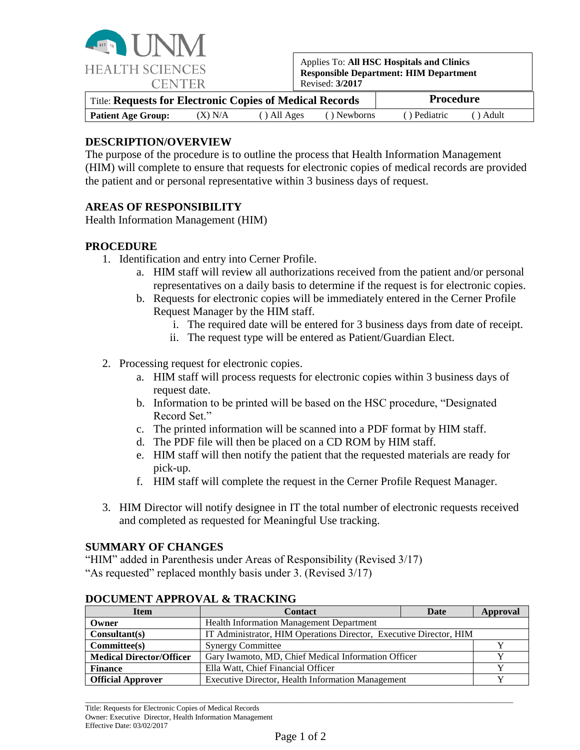

Applies To: **All HSC Hospitals and Clinics Responsible Department: HIM Department** Revised: **3/2017**

| <b>Title: Requests for Electronic Copies of Medical Records</b> |         | <b>Procedure</b> |              |              |           |  |
|-----------------------------------------------------------------|---------|------------------|--------------|--------------|-----------|--|
| <b>Patient Age Group:</b>                                       | (X) N/A | $($ ) All Ages   | (a) Newborns | () Pediatric | ∩ Adult ≀ |  |

# **DESCRIPTION/OVERVIEW**

The purpose of the procedure is to outline the process that Health Information Management (HIM) will complete to ensure that requests for electronic copies of medical records are provided the patient and or personal representative within 3 business days of request.

## **AREAS OF RESPONSIBILITY**

Health Information Management (HIM)

## **PROCEDURE**

- 1. Identification and entry into Cerner Profile.
	- a. HIM staff will review all authorizations received from the patient and/or personal representatives on a daily basis to determine if the request is for electronic copies.
	- b. Requests for electronic copies will be immediately entered in the Cerner Profile Request Manager by the HIM staff.
		- i. The required date will be entered for 3 business days from date of receipt.
		- ii. The request type will be entered as Patient/Guardian Elect.
- 2. Processing request for electronic copies.
	- a. HIM staff will process requests for electronic copies within 3 business days of request date.
	- b. Information to be printed will be based on the HSC procedure, "Designated Record Set."
	- c. The printed information will be scanned into a PDF format by HIM staff.
	- d. The PDF file will then be placed on a CD ROM by HIM staff.
	- e. HIM staff will then notify the patient that the requested materials are ready for pick-up.
	- f. HIM staff will complete the request in the Cerner Profile Request Manager.
- 3. HIM Director will notify designee in IT the total number of electronic requests received and completed as requested for Meaningful Use tracking.

#### **SUMMARY OF CHANGES**

"HIM" added in Parenthesis under Areas of Responsibility (Revised 3/17) "As requested" replaced monthly basis under 3. (Revised 3/17)

| <b>Item</b>                     | <b>Contact</b>                                                     | Date | Approval |
|---------------------------------|--------------------------------------------------------------------|------|----------|
| Owner                           | Health Information Management Department                           |      |          |
| Consultant(s)                   | IT Administrator, HIM Operations Director, Executive Director, HIM |      |          |
| Commitee(s)                     | <b>Synergy Committee</b>                                           |      |          |
| <b>Medical Director/Officer</b> | Gary Iwamoto, MD, Chief Medical Information Officer                |      |          |
| <b>Finance</b>                  | Ella Watt, Chief Financial Officer                                 |      | 37       |
| <b>Official Approver</b>        | <b>Executive Director, Health Information Management</b>           |      |          |

#### **DOCUMENT APPROVAL & TRACKING**

\_\_\_\_\_\_\_\_\_\_\_\_\_\_\_\_\_\_\_\_\_\_\_\_\_\_\_\_\_\_\_\_\_\_\_\_\_\_\_\_\_\_\_\_\_\_\_\_\_\_\_\_\_\_\_\_\_\_\_\_\_\_\_\_\_\_\_\_\_\_\_\_\_\_\_\_\_\_\_\_\_\_\_\_\_\_\_\_\_\_\_\_\_\_\_\_\_\_\_\_\_\_\_\_\_\_\_\_\_\_\_\_\_